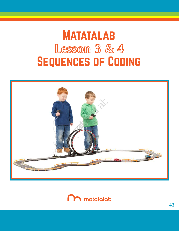# Sequences of Coding **MATATALAB Lesson 3 & 4**



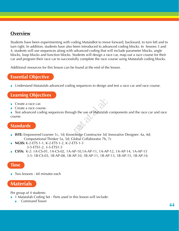#### **Overview**

Students have been experimenting with coding MatataBot to move forward, backward, to turn left and to turn right. In addition, students have also been introduced to advanced coding blocks. In lessons 3 and 4, students will use sequences along with advanced coding that will include parameter blocks, angle blocks, loop blocks and function blocks. Students will design a race car, map out a race course for their car and program their race car to successfully complete the race course using Matatalab coding blocks.

Additional resources for this lesson can be found at the end of the lesson.

# **Essential Objective**

» Understand Matatalab advanced coding sequences to design and test a race car and race course.

#### **Learning Objectives**

- » Create a race car.
- » Create a race course.
- » Test advanced coding sequences through the use of Matatalab components and the race car and race course. gh the use of Matatalab

#### **Standards**

- » **ISTE:** Empowered Learner 1c, 1d; Knowledge Constructor 3d; Innovative Designer: 4a, 4d; Computational Thinker 5a, 5d; Global Collaborator 7b, 7c
- » **NGSS:** K-2-ETS 1-1, K-2-ETS 1-2, K-2-ETS 1-3 3-5-ETS1-2, 3-5-ETS1-3
- » **CSTA:** K-2: 1A-CS-01, 1A-CS-02, 1A-AP-10,1A-AP-11, 1A-AP-12, 1A-AP-14, 1A-AP-15 3-5: 1B-CS-03, 1B-AP-08, 1B-AP-10, 1B-AP-11, 1B-AP-13, 1B-AP-15, 1B-AP-16

#### **Time**

» Two lessons - 60 minutes each

# **Materials**

Per group of 4 students:

- » 1 Matatalab Coding Set Parts used in this lesson will include:
	- » Command Tower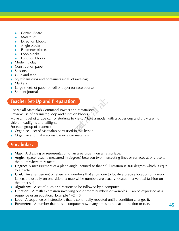- » Control Board
- » MatataBot
- » Direction blocks
- » Angle blocks
- » Parameter blocks
- » Loop blocks
- » Function blocks
- » Modeling clay
- » Construction paper
- » Scissors
- » Glue and tape
- » Styrofoam cups and containers (shell of race car)
- » Markers
- » Large sheets of paper or roll of paper for race course
- Student journals

### **Teacher Set-Up and Preparation**

Charge all Matatalab Command Towers and MatataBots.

Preview use of parameter, loop and function blocks.

Make a model of a race car for students to view. Make a model with a paper cup and draw a windshield, headlights and taillights matata Bots.<br>
in blocks.<br>
by view. Make a model v<br>
in this lesson.

For each group of students:

- » Organize 1 set of Matatalab parts used in this lesson.
- **Organize and make accessible race car materials.**

#### **Vocabulary**

- » **Map:** A drawing or representation of an area usually on a flat surface.
- » **Angle:** Space (usually measured in degrees) between two intersecting lines or surfaces at or close to the point where they meet.
- » **Degree:** A measurement of a plane angle, defined so that a full rotation is 360 degrees which is equal to a circle.
- » **Grid:** An arrangement of letters and numbers that allow one to locate a precise location on a map. Letters are usually on one side of a map while numbers are usually located in a vertical fashion on the other side.
- » **Algorithm:** A set of rules or directions to be followed by a computer.
- » **Function:** A math expression involving one or more numbers or variables. Can be expressed as a sequence or an equation. Example  $1+2=3$
- **Loop:** A sequence of instructions that is continually repeated until a condition changes it.
- **Parameter:** A number that tells a computer how many times to repeat a direction or rule.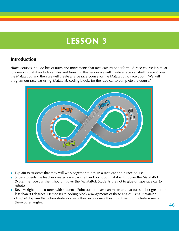# **LESSON 3**

### **Introduction**

"Race courses include lots of turns and movements that race cars must perform. A race course is similar to a map in that it includes angles and turns. In this lesson we will create a race car shell, place it over the MatataBot, and then we will create a large race course for the MatataBot to race upon. We will program our race car using Matatalab coding blocks for the race car to complete the course."



- » Explain to students that they will work together to design a race car and a race course.
- » Show students the teacher created race car shell and point out that it will fit over the MatataBot. (Note: The race car shell should fit over the MatataBot. Students are not to glue or tape race car to robot.)
- » Review right and left turns with students. Point out that cars can make angular turns either greater or less than 90 degrees. Demonstrate coding block arrangements of these angles using Matatalab
- Coding Set. Explain that when students create their race course they might want to include some of these other angles.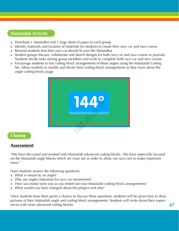# **Matatalab Activity**

- » Distribute 1 MatataBot and 1 large sheet of paper to each group.
- » Identify materials and location of materials for students to create their race car and race course.
- » Remind students that their race car should fit over the MatataBot.
- » Student groups discuss, collaborate and sketch designs for both race car and race course in journals. Students divide tasks among group members and work to complete both race car and race course.
- » Encourage students to test coding block arrangements of these angles using the Matatalab Coding Set. Allow students to modify and iterate their coding block arrangements as they learn about the angle coding block usage.



#### **Closing**

#### **Assessment**

"We have discussed and worked with Matatalab advanced coding blocks. We have especially focused on the Matatalab angle blocks which we must use in order to allow our race cars to make important turns."

Have students answer the following questions:

- » What is meant by an angle?
- » Why are angles important for race car movements?
- » How successful were you as you tested out your Matatalab coding block arrangements?
- » What would you have changed about this project and why?

Once students have been given a chance to discuss these questions, students will be given time to draw pictures of their Matatalab angle and coding block arrangements. Students will write about their experiences with more advanced coding blocks.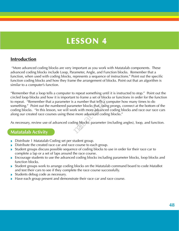# **LESSON 4**

#### **Introduction**

 "More advanced coding blocks are very important as you work with Matatalab components. These advanced coding blocks include Loop, Parameter, Angle, and Function blocks. Remember that a function, when used with coding blocks, represents a sequence of instructions." Point out the specific function coding blocks and how they frame the arrangement of blocks. Point out that an algorithm is similar to a computer's function.

"Remember that a loop tells a computer to repeat something until it is instructed to stop." Point out the circled loop blocks and how it is important to frame a set of blocks or functions in order for the function to repeat. "Remember that a parameter is a number that tells a computer how many times to do something." Point out the numbered parameter blocks that, using prongs, connect at the bottom of the coding blocks. "In this lesson, we will work with more advanced coding blocks and race our race cars along our created race courses using these more advanced coding blocks." The matter and the matter blocks that, using<br>the matter blocks that, using<br>the more advanced codin<br>ling blocks: parameter (

As necessary, review use of advanced coding blocks: parameter (including angles), loop, and function.

#### **Matatalab Activity**

- » Distribute 1 Matatalab Coding set per student group.
- » Distribute the created race car and race course to each group.
- » Student groups discuss possible sequence of coding blocks to use in order for their race car to complete a lap or a set of laps around the race course.
- » Encourage students to use the advanced coding blocks including parameter blocks, loop blocks and function blocks.
- » Student groups work to arrange coding blocks on the Matatalab command board to code MataBot and test their cars to see if they complete the race course successfully.
- » Students debug code as necessary.
- » Have each group present and demonstrate their race car and race course.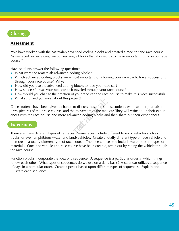# **Closing**

#### **Assessment**

"We have worked with the Matatalab advanced coding blocks and created a race car and race course. As we raced our race cars, we utilized angle blocks that allowed us to make important turns on our race course."

Have students answer the following questions:

- » What were the Matatalab advanced coding blocks?
- » Which advanced coding blocks were most important for allowing your race car to travel successfully through your race course? Why?
- » How did you use the advanced coding blocks to race your race car?
- » How successful was your race car as it traveled through your race course?
- » How would you change the creation of your race car and race course to make this more successful?
- What surprised you most about this project?

Once students have been given a chance to discuss these questions, students will use their journals to draw pictures of their race courses and the movement of the race car. They will write about their experiences with the race course and more advanced coding blocks and then share out their experiences. by pect?<br>to discuss these question<br>e movement of the race<br>anced coding blocks and<br>some races include

#### **Extensions**

There are many different types of car races. Some races include different types of vehicles such as trucks, or even amphibious (water and land) vehicles. Create a totally different type of race vehicle and then create a totally different type of race course. The race course may include water or other types of materials. Once the vehicle and race course have been created, test it out by racing the vehicle through the race course.

Function blocks incorporate the idea of a sequence. A sequence is a particular order in which things follow each other. What types of sequences do we use on a daily basis? A calendar utilizes a sequence of days in a particular order. Create a poster based upon different types of sequences. Explain and illustrate each sequence.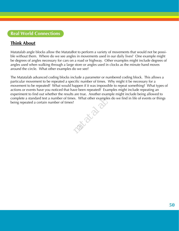# **Think About**

Matatalab angle blocks allow the MatataBot to perform a variety of movements that would not be possible without them. Where do we see angles in movements used in our daily lives? One example might be degrees of angles necessary for cars on a road or highway. Other examples might include degrees of angles used when walking through a large store or angles used in clocks as the minute hand moves around the circle. What other examples do we see?

The Matatalab advanced coding blocks include a parameter or numbered coding block. This allows a particular movement to be repeated a specific number of times. Why might it be necessary for a movement to be repeated? What would happen if it was impossible to repeat something? What types of actions or events have you noticed that have been repeated? Examples might include repeating an experiment to find out whether the results are true. Another example might include being allowed to complete a standard test a number of times. What other examples do we find in life of events or things being repeated a certain number of times? **matatala**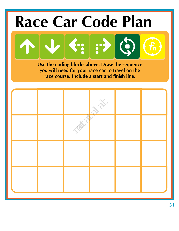